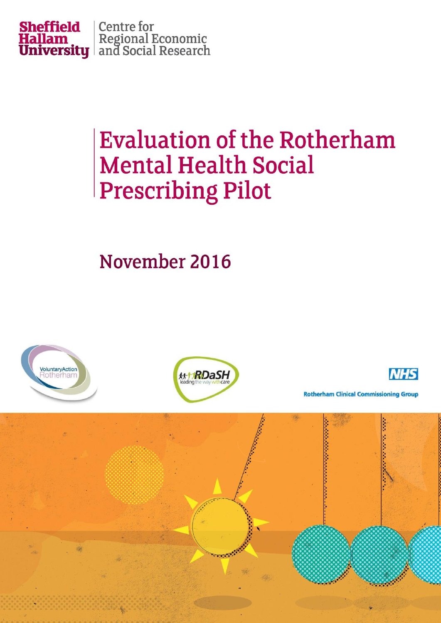

# **Evaluation of the Rotherham Mental Health Social Prescribing Pilot**

November 2016

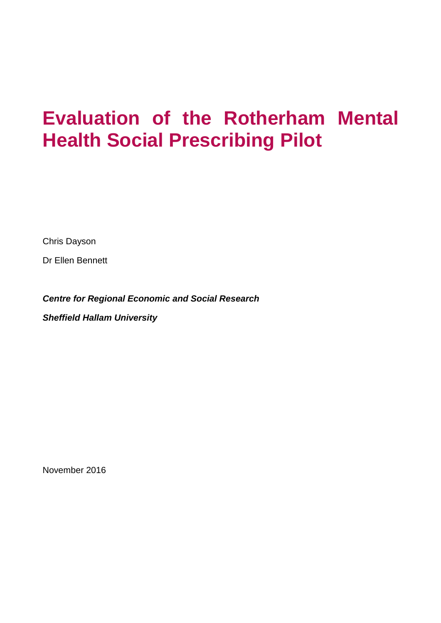# **Evaluation of the Rotherham Mental Health Social Prescribing Pilot**

Chris Dayson

Dr Ellen Bennett

*Centre for Regional Economic and Social Research*

*Sheffield Hallam University*

November 2016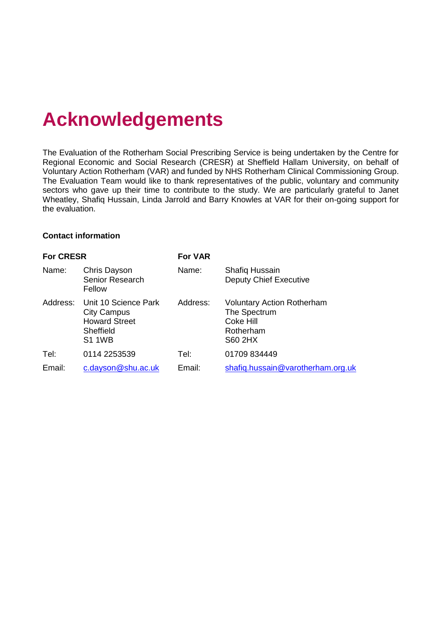## **Acknowledgements**

The Evaluation of the Rotherham Social Prescribing Service is being undertaken by the Centre for Regional Economic and Social Research (CRESR) at Sheffield Hallam University, on behalf of Voluntary Action Rotherham (VAR) and funded by NHS Rotherham Clinical Commissioning Group. The Evaluation Team would like to thank representatives of the public, voluntary and community sectors who gave up their time to contribute to the study. We are particularly grateful to Janet Wheatley, Shafiq Hussain, Linda Jarrold and Barry Knowles at VAR for their on-going support for the evaluation.

#### **Contact information**

| <b>For CRESR</b> |                                                                                                           | <b>For VAR</b> |                                                                                               |  |  |  |
|------------------|-----------------------------------------------------------------------------------------------------------|----------------|-----------------------------------------------------------------------------------------------|--|--|--|
| Name:            | Chris Dayson<br>Senior Research<br>Fellow                                                                 | Name:          | <b>Shafiq Hussain</b><br><b>Deputy Chief Executive</b>                                        |  |  |  |
|                  | Address: Unit 10 Science Park<br><b>City Campus</b><br><b>Howard Street</b><br>Sheffield<br><b>S1 1WB</b> | Address:       | <b>Voluntary Action Rotherham</b><br>The Spectrum<br>Coke Hill<br>Rotherham<br><b>S60 2HX</b> |  |  |  |
| Tel:             | 0114 2253539                                                                                              | Tel:           | 01709 834449                                                                                  |  |  |  |
| Email:           | c.dayson@shu.ac.uk                                                                                        | Email:         | shafiq.hussain@varotherham.org.uk                                                             |  |  |  |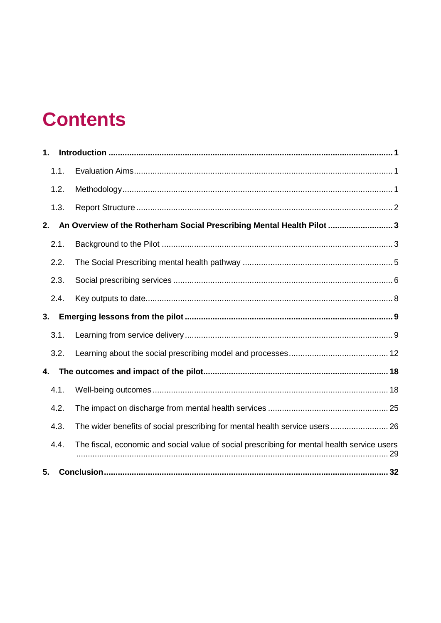## **Contents**

| 1. |      |                                                                                             |
|----|------|---------------------------------------------------------------------------------------------|
|    | 1.1. |                                                                                             |
|    | 1.2. |                                                                                             |
|    | 1.3. |                                                                                             |
| 2. |      | An Overview of the Rotherham Social Prescribing Mental Health Pilot 3                       |
|    | 2.1. |                                                                                             |
|    | 2.2. |                                                                                             |
|    | 2.3. |                                                                                             |
|    | 2.4. |                                                                                             |
| 3. |      |                                                                                             |
|    | 3.1. |                                                                                             |
|    | 3.2. |                                                                                             |
| 4. |      |                                                                                             |
|    | 4.1. |                                                                                             |
|    | 4.2. |                                                                                             |
|    | 4.3. | The wider benefits of social prescribing for mental health service users 26                 |
|    | 4.4. | The fiscal, economic and social value of social prescribing for mental health service users |
| 5. |      |                                                                                             |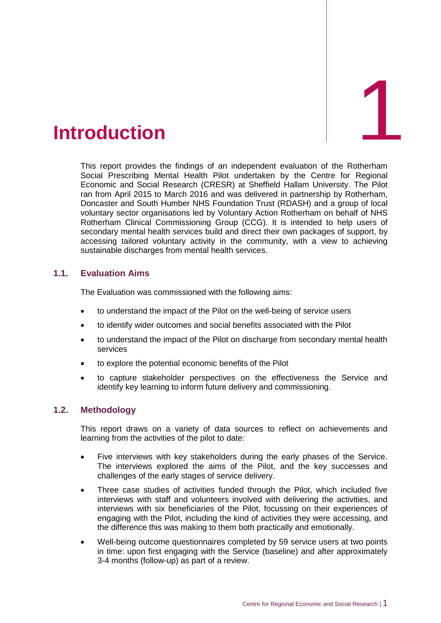<span id="page-4-0"></span>

This report provides the findings of an independent evaluation of the Rotherham Social Prescribing Mental Health Pilot undertaken by the Centre for Regional Economic and Social Research (CRESR) at Sheffield Hallam University. The Pilot ran from April 2015 to March 2016 and was delivered in partnership by Rotherham, Doncaster and South Humber NHS Foundation Trust (RDASH) and a group of local voluntary sector organisations led by Voluntary Action Rotherham on behalf of NHS Rotherham Clinical Commissioning Group (CCG). It is intended to help users of secondary mental health services build and direct their own packages of support, by accessing tailored voluntary activity in the community, with a view to achieving sustainable discharges from mental health services.

## <span id="page-4-1"></span>**1.1. Evaluation Aims**

The Evaluation was commissioned with the following aims:

- to understand the impact of the Pilot on the well-being of service users
- to identify wider outcomes and social benefits associated with the Pilot
- to understand the impact of the Pilot on discharge from secondary mental health services
- to explore the potential economic benefits of the Pilot
- to capture stakeholder perspectives on the effectiveness the Service and identify key learning to inform future delivery and commissioning.

#### <span id="page-4-2"></span>**1.2. Methodology**

This report draws on a variety of data sources to reflect on achievements and learning from the activities of the pilot to date:

- Five interviews with key stakeholders during the early phases of the Service. The interviews explored the aims of the Pilot, and the key successes and challenges of the early stages of service delivery.
- Three case studies of activities funded through the Pilot, which included five interviews with staff and volunteers involved with delivering the activities, and interviews with six beneficiaries of the Pilot, focussing on their experiences of engaging with the Pilot, including the kind of activities they were accessing, and the difference this was making to them both practically and emotionally.
- Well-being outcome questionnaires completed by 59 service users at two points in time: upon first engaging with the Service (baseline) and after approximately 3-4 months (follow-up) as part of a review.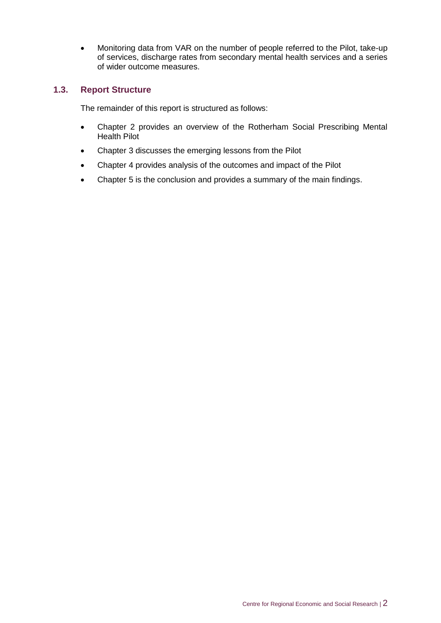• Monitoring data from VAR on the number of people referred to the Pilot, take-up of services, discharge rates from secondary mental health services and a series of wider outcome measures.

#### <span id="page-5-0"></span>**1.3. Report Structure**

The remainder of this report is structured as follows:

- Chapter 2 provides an overview of the Rotherham Social Prescribing Mental Health Pilot
- Chapter 3 discusses the emerging lessons from the Pilot
- Chapter 4 provides analysis of the outcomes and impact of the Pilot
- Chapter 5 is the conclusion and provides a summary of the main findings.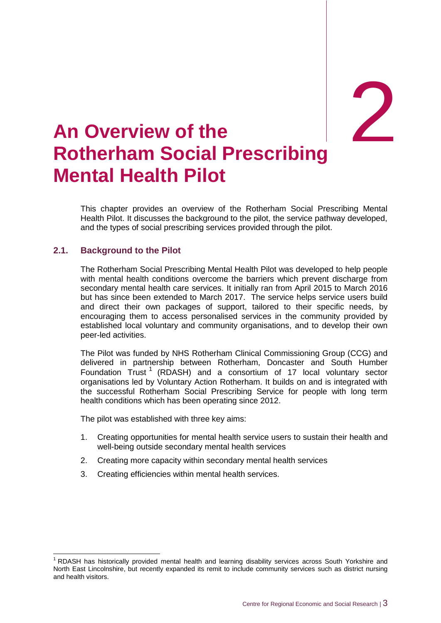# 2

## <span id="page-6-0"></span>2. **An Overview of the Rotherham Social Prescribing Mental Health Pilot**

This chapter provides an overview of the Rotherham Social Prescribing Mental Health Pilot. It discusses the background to the pilot, the service pathway developed, and the types of social prescribing services provided through the pilot.

## <span id="page-6-1"></span>**2.1. Background to the Pilot**

-

The Rotherham Social Prescribing Mental Health Pilot was developed to help people with mental health conditions overcome the barriers which prevent discharge from secondary mental health care services. It initially ran from April 2015 to March 2016 but has since been extended to March 2017. The service helps service users build and direct their own packages of support, tailored to their specific needs, by encouraging them to access personalised services in the community provided by established local voluntary and community organisations, and to develop their own peer-led activities.

The Pilot was funded by NHS Rotherham Clinical Commissioning Group (CCG) and delivered in partnership between Rotherham, Doncaster and South Humber Foundation  $Trust^{-1}$  (RDASH) and a consortium of 17 local voluntary sector organisations led by Voluntary Action Rotherham. It builds on and is integrated with the successful Rotherham Social Prescribing Service for people with long term health conditions which has been operating since 2012.

The pilot was established with three key aims:

- 1. Creating opportunities for mental health service users to sustain their health and well-being outside secondary mental health services
- 2. Creating more capacity within secondary mental health services
- 3. Creating efficiencies within mental health services.

<sup>1</sup> RDASH has historically provided mental health and learning disability services across South Yorkshire and North East Lincolnshire, but recently expanded its remit to include community services such as district nursing and health visitors.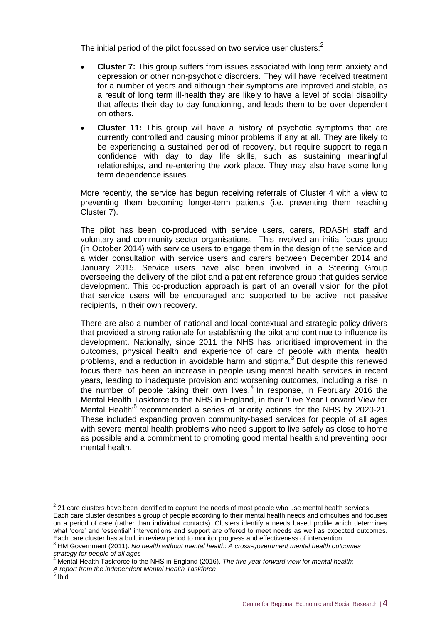The initial period of the pilot focussed on two service user clusters: $^2$ 

- **Cluster 7:** This group suffers from issues associated with long term anxiety and depression or other non-psychotic disorders. They will have received treatment for a number of years and although their symptoms are improved and stable, as a result of long term ill-health they are likely to have a level of social disability that affects their day to day functioning, and leads them to be over dependent on others.
- **Cluster 11:** This group will have a history of psychotic symptoms that are currently controlled and causing minor problems if any at all. They are likely to be experiencing a sustained period of recovery, but require support to regain confidence with day to day life skills, such as sustaining meaningful relationships, and re-entering the work place. They may also have some long term dependence issues.

More recently, the service has begun receiving referrals of Cluster 4 with a view to preventing them becoming longer-term patients (i.e. preventing them reaching Cluster 7).

The pilot has been co-produced with service users, carers, RDASH staff and voluntary and community sector organisations. This involved an initial focus group (in October 2014) with service users to engage them in the design of the service and a wider consultation with service users and carers between December 2014 and January 2015. Service users have also been involved in a Steering Group overseeing the delivery of the pilot and a patient reference group that guides service development. This co-production approach is part of an overall vision for the pilot that service users will be encouraged and supported to be active, not passive recipients, in their own recovery.

There are also a number of national and local contextual and strategic policy drivers that provided a strong rationale for establishing the pilot and continue to influence its development. Nationally, since 2011 the NHS has prioritised improvement in the outcomes, physical health and experience of care of people with mental health problems, and a reduction in avoidable harm and stigma.<sup>3</sup> But despite this renewed focus there has been an increase in people using mental health services in recent years, leading to inadequate provision and worsening outcomes, including a rise in the number of people taking their own lives.<sup>4</sup> In response, in February 2016 the Mental Health Taskforce to the NHS in England, in their 'Five Year Forward View for Mental Health<sup>'5</sup> recommended a series of priority actions for the NHS by 2020-21. These included expanding proven community-based services for people of all ages with severe mental health problems who need support to live safely as close to home as possible and a commitment to promoting good mental health and preventing poor mental health.

**<sup>2</sup>**<br><sup>2</sup> 21 care clusters have been identified to capture the needs of most people who use mental health services. Each care cluster describes a group of people according to their mental health needs and difficulties and focuses on a period of care (rather than individual contacts). Clusters identify a needs based profile which determines what 'core' and 'essential' interventions and support are offered to meet needs as well as expected outcomes. Each care cluster has a built in review period to monitor progress and effectiveness of intervention.

<sup>3</sup> HM Government (2011). *No health without mental health: A cross-government mental health outcomes strategy for people of all ages*

<sup>4</sup> Mental Health Taskforce to the NHS in England (2016). *The five year forward view for mental health:*

*A report from the independent Mental Health Taskforce* 5 Ibid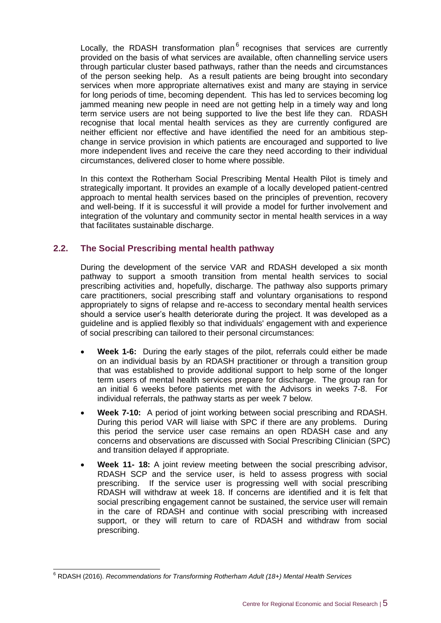Locally, the RDASH transformation plan<sup>6</sup> recognises that services are currently provided on the basis of what services are available, often channelling service users through particular cluster based pathways, rather than the needs and circumstances of the person seeking help. As a result patients are being brought into secondary services when more appropriate alternatives exist and many are staying in service for long periods of time, becoming dependent. This has led to services becoming log jammed meaning new people in need are not getting help in a timely way and long term service users are not being supported to live the best life they can. RDASH recognise that local mental health services as they are currently configured are neither efficient nor effective and have identified the need for an ambitious stepchange in service provision in which patients are encouraged and supported to live more independent lives and receive the care they need according to their individual circumstances, delivered closer to home where possible.

In this context the Rotherham Social Prescribing Mental Health Pilot is timely and strategically important. It provides an example of a locally developed patient-centred approach to mental health services based on the principles of prevention, recovery and well-being. If it is successful it will provide a model for further involvement and integration of the voluntary and community sector in mental health services in a way that facilitates sustainable discharge.

## <span id="page-8-0"></span>**2.2. The Social Prescribing mental health pathway**

During the development of the service VAR and RDASH developed a six month pathway to support a smooth transition from mental health services to social prescribing activities and, hopefully, discharge. The pathway also supports primary care practitioners, social prescribing staff and voluntary organisations to respond appropriately to signs of relapse and re-access to secondary mental health services should a service user's health deteriorate during the project. It was developed as a guideline and is applied flexibly so that individuals' engagement with and experience of social prescribing can tailored to their personal circumstances:

- **Week 1-6:** During the early stages of the pilot, referrals could either be made on an individual basis by an RDASH practitioner or through a transition group that was established to provide additional support to help some of the longer term users of mental health services prepare for discharge. The group ran for an initial 6 weeks before patients met with the Advisors in weeks 7-8. For individual referrals, the pathway starts as per week 7 below.
- **Week 7-10:** A period of joint working between social prescribing and RDASH. During this period VAR will liaise with SPC if there are any problems. During this period the service user case remains an open RDASH case and any concerns and observations are discussed with Social Prescribing Clinician (SPC) and transition delayed if appropriate.
- **Week 11- 18:** A joint review meeting between the social prescribing advisor, RDASH SCP and the service user, is held to assess progress with social prescribing. If the service user is progressing well with social prescribing RDASH will withdraw at week 18. If concerns are identified and it is felt that social prescribing engagement cannot be sustained, the service user will remain in the care of RDASH and continue with social prescribing with increased support, or they will return to care of RDASH and withdraw from social prescribing.

 $\overline{a}$ 

<sup>6</sup> RDASH (2016). *Recommendations for Transforming Rotherham Adult (18+) Mental Health Services*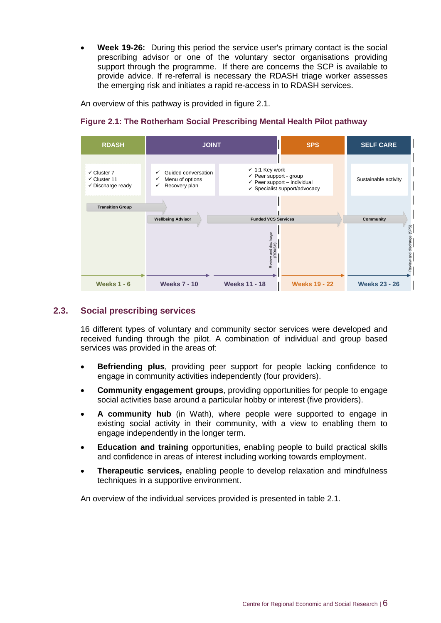**Week 19-26:** During this period the service user's primary contact is the social prescribing advisor or one of the voluntary sector organisations providing support through the programme. If there are concerns the SCP is available to provide advice. If re-referral is necessary the RDASH triage worker assesses the emerging risk and initiates a rapid re-access in to RDASH services.

An overview of this pathway is provided in figure 2.1.

#### **Figure 2.1: The Rotherham Social Prescribing Mental Health Pilot pathway**

| <b>RDASH</b>                                                                      | <b>JOINT</b>                                                 |                                                                                                                                                      | <b>SPS</b>           | <b>SELF CARE</b>                                   |
|-----------------------------------------------------------------------------------|--------------------------------------------------------------|------------------------------------------------------------------------------------------------------------------------------------------------------|----------------------|----------------------------------------------------|
| $\checkmark$ Cluster 7<br>$\checkmark$ Cluster 11<br>$\checkmark$ Discharge ready | Guided conversation<br>Menu of options<br>Recovery plan<br>✓ | $\checkmark$ 1:1 Key work<br>$\checkmark$ Peer support - group<br>$\checkmark$ Peer support – individual<br>$\checkmark$ Specialist support/advocacy |                      | Sustainable activity                               |
| <b>Transition Group</b><br><b>Wellbeing Advisor</b>                               |                                                              | <b>Funded VCS Services</b>                                                                                                                           |                      | Community                                          |
| <b>Weeks 1 - 6</b>                                                                | <b>Weeks 7 - 10</b>                                          | Review and discharge<br>(RDASH)<br><b>Weeks 11 - 18</b>                                                                                              | <b>Weeks 19 - 22</b> | Review and discharge (SPS)<br><b>Weeks 23 - 26</b> |

#### <span id="page-9-0"></span>**2.3. Social prescribing services**

16 different types of voluntary and community sector services were developed and received funding through the pilot. A combination of individual and group based services was provided in the areas of:

- **Befriending plus**, providing peer support for people lacking confidence to engage in community activities independently (four providers).
- **Community engagement groups**, providing opportunities for people to engage social activities base around a particular hobby or interest (five providers).
- **A community hub** (in Wath), where people were supported to engage in existing social activity in their community, with a view to enabling them to engage independently in the longer term.
- **Education and training** opportunities, enabling people to build practical skills and confidence in areas of interest including working towards employment.
- **Therapeutic services,** enabling people to develop relaxation and mindfulness techniques in a supportive environment.

An overview of the individual services provided is presented in table 2.1.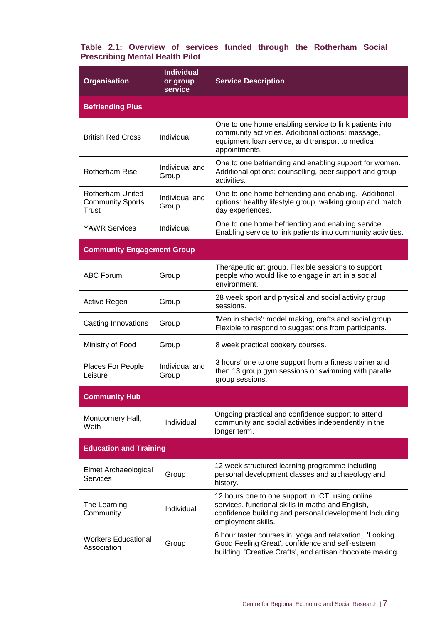#### **Table 2.1: Overview of services funded through the Rotherham Social Prescribing Mental Health Pilot**

| <b>Organisation</b>                                  | <b>Individual</b><br>or group<br>service | <b>Service Description</b>                                                                                                                                                            |  |
|------------------------------------------------------|------------------------------------------|---------------------------------------------------------------------------------------------------------------------------------------------------------------------------------------|--|
| <b>Befriending Plus</b>                              |                                          |                                                                                                                                                                                       |  |
| <b>British Red Cross</b>                             | Individual                               | One to one home enabling service to link patients into<br>community activities. Additional options: massage,<br>equipment loan service, and transport to medical<br>appointments.     |  |
| <b>Rotherham Rise</b>                                | Individual and<br>Group                  | One to one befriending and enabling support for women.<br>Additional options: counselling, peer support and group<br>activities.                                                      |  |
| Rotherham United<br><b>Community Sports</b><br>Trust | Individual and<br>Group                  | One to one home befriending and enabling. Additional<br>options: healthy lifestyle group, walking group and match<br>day experiences.                                                 |  |
| <b>YAWR Services</b>                                 | Individual                               | One to one home befriending and enabling service.<br>Enabling service to link patients into community activities.                                                                     |  |
| <b>Community Engagement Group</b>                    |                                          |                                                                                                                                                                                       |  |
| <b>ABC Forum</b>                                     | Group                                    | Therapeutic art group. Flexible sessions to support<br>people who would like to engage in art in a social<br>environment.                                                             |  |
| Active Regen                                         | Group                                    | 28 week sport and physical and social activity group<br>sessions.                                                                                                                     |  |
| Casting Innovations                                  | Group                                    | 'Men in sheds': model making, crafts and social group.<br>Flexible to respond to suggestions from participants.                                                                       |  |
| Ministry of Food                                     | Group                                    | 8 week practical cookery courses.                                                                                                                                                     |  |
| Places For People<br>Leisure                         | Individual and<br>Group                  | 3 hours' one to one support from a fitness trainer and<br>then 13 group gym sessions or swimming with parallel<br>group sessions.                                                     |  |
| <b>Community Hub</b>                                 |                                          |                                                                                                                                                                                       |  |
| Montgomery Hall,<br>Wath                             | Individual                               | Ongoing practical and confidence support to attend<br>community and social activities independently in the<br>longer term.                                                            |  |
| <b>Education and Training</b>                        |                                          |                                                                                                                                                                                       |  |
| Elmet Archaeological<br>Services                     | Group                                    | 12 week structured learning programme including<br>personal development classes and archaeology and<br>history.                                                                       |  |
| The Learning<br>Community                            | Individual                               | 12 hours one to one support in ICT, using online<br>services, functional skills in maths and English,<br>confidence building and personal development Including<br>employment skills. |  |
| <b>Workers Educational</b><br>Association            | Group                                    | 6 hour taster courses in: yoga and relaxation, 'Looking<br>Good Feeling Great', confidence and self-esteem<br>building, 'Creative Crafts', and artisan chocolate making               |  |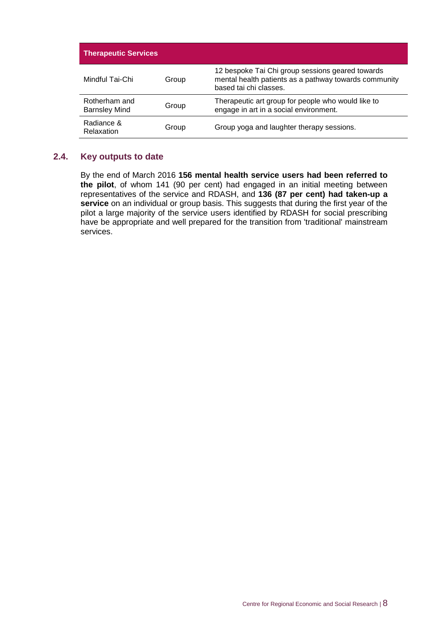| <b>Therapeutic Services</b>           |       |                                                                                                                                     |
|---------------------------------------|-------|-------------------------------------------------------------------------------------------------------------------------------------|
| Mindful Tai-Chi                       | Group | 12 bespoke Tai Chi group sessions geared towards<br>mental health patients as a pathway towards community<br>based tai chi classes. |
| Rotherham and<br><b>Barnsley Mind</b> | Group | Therapeutic art group for people who would like to<br>engage in art in a social environment.                                        |
| Radiance &<br>Relaxation              | Group | Group yoga and laughter therapy sessions.                                                                                           |

#### <span id="page-11-0"></span>**2.4. Key outputs to date**

By the end of March 2016 **156 mental health service users had been referred to the pilot**, of whom 141 (90 per cent) had engaged in an initial meeting between representatives of the service and RDASH, and **136 (87 per cent) had taken-up a service** on an individual or group basis. This suggests that during the first year of the pilot a large majority of the service users identified by RDASH for social prescribing have be appropriate and well prepared for the transition from 'traditional' mainstream services.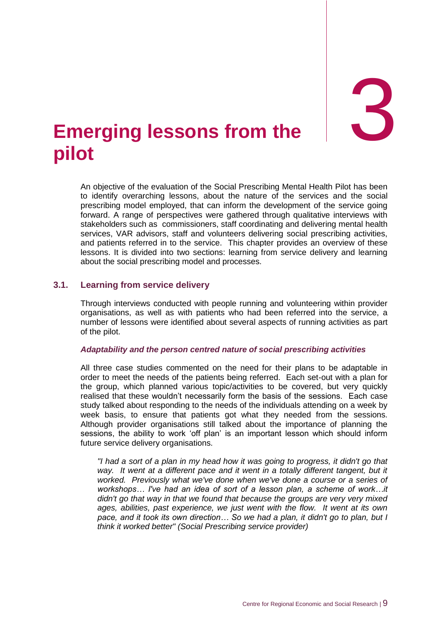3

## <span id="page-12-0"></span>**Emerging lessons from the pilot**

An objective of the evaluation of the Social Prescribing Mental Health Pilot has been to identify overarching lessons, about the nature of the services and the social prescribing model employed, that can inform the development of the service going forward. A range of perspectives were gathered through qualitative interviews with stakeholders such as commissioners, staff coordinating and delivering mental health services, VAR advisors, staff and volunteers delivering social prescribing activities, and patients referred in to the service. This chapter provides an overview of these lessons. It is divided into two sections: learning from service delivery and learning about the social prescribing model and processes.

#### <span id="page-12-1"></span>**3.1. Learning from service delivery**

Through interviews conducted with people running and volunteering within provider organisations, as well as with patients who had been referred into the service, a number of lessons were identified about several aspects of running activities as part of the pilot.

#### *Adaptability and the person centred nature of social prescribing activities*

All three case studies commented on the need for their plans to be adaptable in order to meet the needs of the patients being referred. Each set-out with a plan for the group, which planned various topic/activities to be covered, but very quickly realised that these wouldn't necessarily form the basis of the sessions. Each case study talked about responding to the needs of the individuals attending on a week by week basis, to ensure that patients got what they needed from the sessions. Although provider organisations still talked about the importance of planning the sessions, the ability to work 'off plan' is an important lesson which should inform future service delivery organisations.

*"I had a sort of a plan in my head how it was going to progress, it didn't go that*  way. It went at a different pace and it went in a totally different tangent, but it *worked. Previously what we've done when we've done a course or a series of workshops… I've had an idea of sort of a lesson plan, a scheme of work…it didn't go that way in that we found that because the groups are very very mixed ages, abilities, past experience, we just went with the flow. It went at its own pace, and it took its own direction… So we had a plan, it didn't go to plan, but I think it worked better" (Social Prescribing service provider)*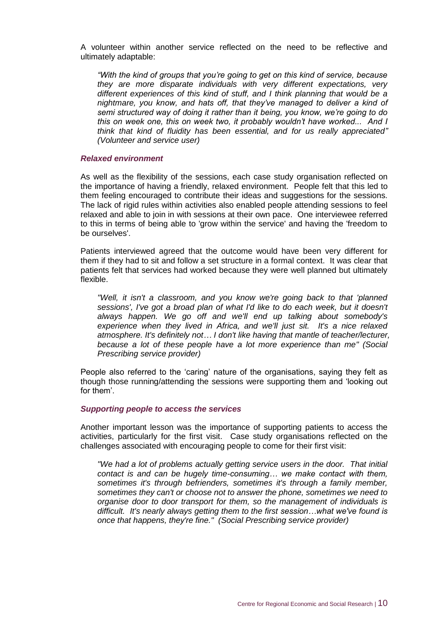A volunteer within another service reflected on the need to be reflective and ultimately adaptable:

*"With the kind of groups that you're going to get on this kind of service, because they are more disparate individuals with very different expectations, very different experiences of this kind of stuff, and I think planning that would be a nightmare, you know, and hats off, that they've managed to deliver a kind of semi structured way of doing it rather than it being, you know, we're going to do this on week one, this on week two, it probably wouldn't have worked... And I think that kind of fluidity has been essential, and for us really appreciated" (Volunteer and service user)*

#### *Relaxed environment*

As well as the flexibility of the sessions, each case study organisation reflected on the importance of having a friendly, relaxed environment. People felt that this led to them feeling encouraged to contribute their ideas and suggestions for the sessions. The lack of rigid rules within activities also enabled people attending sessions to feel relaxed and able to join in with sessions at their own pace. One interviewee referred to this in terms of being able to 'grow within the service' and having the 'freedom to be ourselves'.

Patients interviewed agreed that the outcome would have been very different for them if they had to sit and follow a set structure in a formal context. It was clear that patients felt that services had worked because they were well planned but ultimately flexible.

*"Well, it isn't a classroom, and you know we're going back to that 'planned sessions', I've got a broad plan of what I'd like to do each week, but it doesn't always happen. We go off and we'll end up talking about somebody's experience when they lived in Africa, and we'll just sit. It's a nice relaxed atmosphere. It's definitely not… I don't like having that mantle of teacher/lecturer, because a lot of these people have a lot more experience than me" (Social Prescribing service provider)*

People also referred to the 'caring' nature of the organisations, saying they felt as though those running/attending the sessions were supporting them and 'looking out for them'.

#### *Supporting people to access the services*

Another important lesson was the importance of supporting patients to access the activities, particularly for the first visit. Case study organisations reflected on the challenges associated with encouraging people to come for their first visit:

*"We had a lot of problems actually getting service users in the door. That initial contact is and can be hugely time-consuming… we make contact with them, sometimes it's through befrienders, sometimes it's through a family member, sometimes they can't or choose not to answer the phone, sometimes we need to organise door to door transport for them, so the management of individuals is difficult. It's nearly always getting them to the first session…what we've found is once that happens, they're fine." (Social Prescribing service provider)*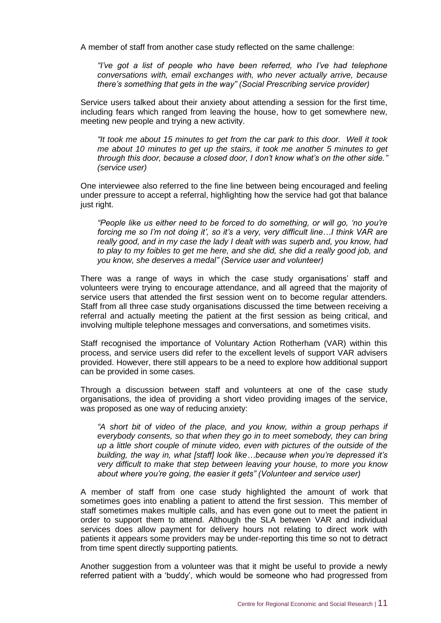A member of staff from another case study reflected on the same challenge:

*"I've got a list of people who have been referred, who I've had telephone conversations with, email exchanges with, who never actually arrive, because there's something that gets in the way" (Social Prescribing service provider)*

Service users talked about their anxiety about attending a session for the first time, including fears which ranged from leaving the house, how to get somewhere new, meeting new people and trying a new activity.

*"It took me about 15 minutes to get from the car park to this door. Well it took me about 10 minutes to get up the stairs, it took me another 5 minutes to get through this door, because a closed door, I don't know what's on the other side." (service user)*

One interviewee also referred to the fine line between being encouraged and feeling under pressure to accept a referral, highlighting how the service had got that balance just right.

*"People like us either need to be forced to do something, or will go, 'no you're forcing me so I'm not doing it', so it's a very, very difficult line…I think VAR are really good, and in my case the lady I dealt with was superb and, you know, had to play to my foibles to get me here, and she did, she did a really good job, and you know, she deserves a medal" (Service user and volunteer)*

There was a range of ways in which the case study organisations' staff and volunteers were trying to encourage attendance, and all agreed that the majority of service users that attended the first session went on to become regular attenders. Staff from all three case study organisations discussed the time between receiving a referral and actually meeting the patient at the first session as being critical, and involving multiple telephone messages and conversations, and sometimes visits.

Staff recognised the importance of Voluntary Action Rotherham (VAR) within this process, and service users did refer to the excellent levels of support VAR advisers provided. However, there still appears to be a need to explore how additional support can be provided in some cases.

Through a discussion between staff and volunteers at one of the case study organisations, the idea of providing a short video providing images of the service, was proposed as one way of reducing anxiety:

*"A short bit of video of the place, and you know, within a group perhaps if everybody consents, so that when they go in to meet somebody, they can bring up a little short couple of minute video, even with pictures of the outside of the building, the way in, what [staff] look like…because when you're depressed it's very difficult to make that step between leaving your house, to more you know about where you're going, the easier it gets" (Volunteer and service user)*

A member of staff from one case study highlighted the amount of work that sometimes goes into enabling a patient to attend the first session. This member of staff sometimes makes multiple calls, and has even gone out to meet the patient in order to support them to attend. Although the SLA between VAR and individual services does allow payment for delivery hours not relating to direct work with patients it appears some providers may be under-reporting this time so not to detract from time spent directly supporting patients.

Another suggestion from a volunteer was that it might be useful to provide a newly referred patient with a 'buddy', which would be someone who had progressed from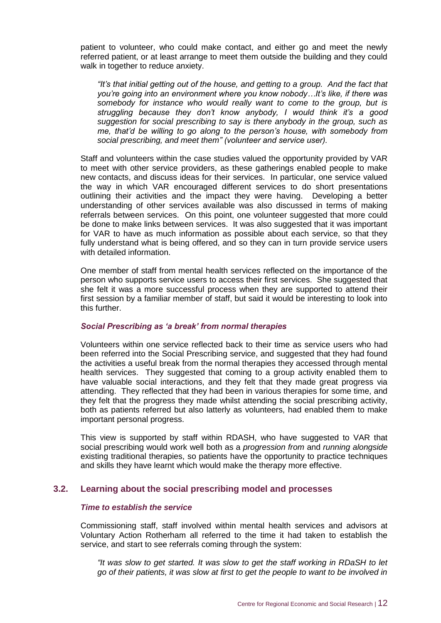patient to volunteer, who could make contact, and either go and meet the newly referred patient, or at least arrange to meet them outside the building and they could walk in together to reduce anxiety.

*"It's that initial getting out of the house, and getting to a group. And the fact that you're going into an environment where you know nobody…It's like, if there was somebody for instance who would really want to come to the group, but is struggling because they don't know anybody, I would think it's a good suggestion for social prescribing to say is there anybody in the group, such as me, that'd be willing to go along to the person's house, with somebody from social prescribing, and meet them" (volunteer and service user).*

Staff and volunteers within the case studies valued the opportunity provided by VAR to meet with other service providers, as these gatherings enabled people to make new contacts, and discuss ideas for their services. In particular, one service valued the way in which VAR encouraged different services to do short presentations outlining their activities and the impact they were having. Developing a better understanding of other services available was also discussed in terms of making referrals between services. On this point, one volunteer suggested that more could be done to make links between services. It was also suggested that it was important for VAR to have as much information as possible about each service, so that they fully understand what is being offered, and so they can in turn provide service users with detailed information.

One member of staff from mental health services reflected on the importance of the person who supports service users to access their first services. She suggested that she felt it was a more successful process when they are supported to attend their first session by a familiar member of staff, but said it would be interesting to look into this further.

#### *Social Prescribing as 'a break' from normal therapies*

Volunteers within one service reflected back to their time as service users who had been referred into the Social Prescribing service, and suggested that they had found the activities a useful break from the normal therapies they accessed through mental health services. They suggested that coming to a group activity enabled them to have valuable social interactions, and they felt that they made great progress via attending. They reflected that they had been in various therapies for some time, and they felt that the progress they made whilst attending the social prescribing activity, both as patients referred but also latterly as volunteers, had enabled them to make important personal progress.

This view is supported by staff within RDASH, who have suggested to VAR that social prescribing would work well both as a *progression from* and *running alongside* existing traditional therapies, so patients have the opportunity to practice techniques and skills they have learnt which would make the therapy more effective.

#### <span id="page-15-0"></span>**3.2. Learning about the social prescribing model and processes**

#### *Time to establish the service*

Commissioning staff, staff involved within mental health services and advisors at Voluntary Action Rotherham all referred to the time it had taken to establish the service, and start to see referrals coming through the system:

*"It was slow to get started. It was slow to get the staff working in RDaSH to let go of their patients, it was slow at first to get the people to want to be involved in*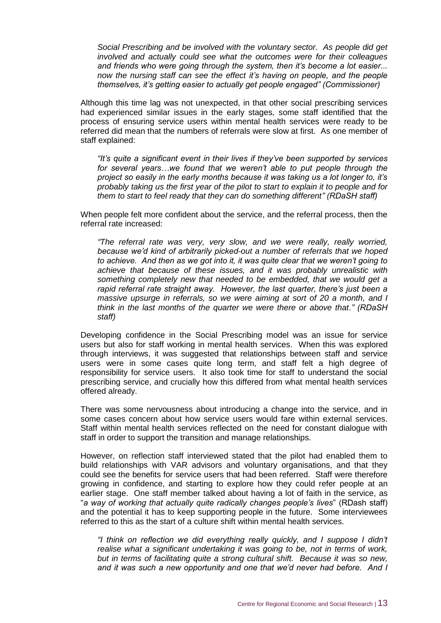*Social Prescribing and be involved with the voluntary sector. As people did get involved and actually could see what the outcomes were for their colleagues and friends who were going through the system, then it's become a lot easier... now the nursing staff can see the effect it's having on people, and the people themselves, it's getting easier to actually get people engaged" (Commissioner)*

Although this time lag was not unexpected, in that other social prescribing services had experienced similar issues in the early stages, some staff identified that the process of ensuring service users within mental health services were ready to be referred did mean that the numbers of referrals were slow at first. As one member of staff explained:

*"It's quite a significant event in their lives if they've been supported by services for several years…we found that we weren't able to put people through the project so easily in the early months because it was taking us a lot longer to, it's probably taking us the first year of the pilot to start to explain it to people and for them to start to feel ready that they can do something different" (RDaSH staff)*

When people felt more confident about the service, and the referral process, then the referral rate increased:

*"The referral rate was very, very slow, and we were really, really worried, because we'd kind of arbitrarily picked-out a number of referrals that we hoped to achieve. And then as we got into it, it was quite clear that we weren't going to achieve that because of these issues, and it was probably unrealistic with something completely new that needed to be embedded, that we would get a rapid referral rate straight away. However, the last quarter, there's just been a massive upsurge in referrals, so we were aiming at sort of 20 a month, and I think in the last months of the quarter we were there or above that." (RDaSH staff)*

Developing confidence in the Social Prescribing model was an issue for service users but also for staff working in mental health services. When this was explored through interviews, it was suggested that relationships between staff and service users were in some cases quite long term, and staff felt a high degree of responsibility for service users. It also took time for staff to understand the social prescribing service, and crucially how this differed from what mental health services offered already.

There was some nervousness about introducing a change into the service, and in some cases concern about how service users would fare within external services. Staff within mental health services reflected on the need for constant dialogue with staff in order to support the transition and manage relationships.

However, on reflection staff interviewed stated that the pilot had enabled them to build relationships with VAR advisors and voluntary organisations, and that they could see the benefits for service users that had been referred. Staff were therefore growing in confidence, and starting to explore how they could refer people at an earlier stage. One staff member talked about having a lot of faith in the service, as "*a way of working that actually quite radically changes people's lives*" (RDash staff) and the potential it has to keep supporting people in the future. Some interviewees referred to this as the start of a culture shift within mental health services.

*"I think on reflection we did everything really quickly, and I suppose I didn't realise what a significant undertaking it was going to be, not in terms of work, but in terms of facilitating quite a strong cultural shift. Because it was so new, and it was such a new opportunity and one that we'd never had before. And I*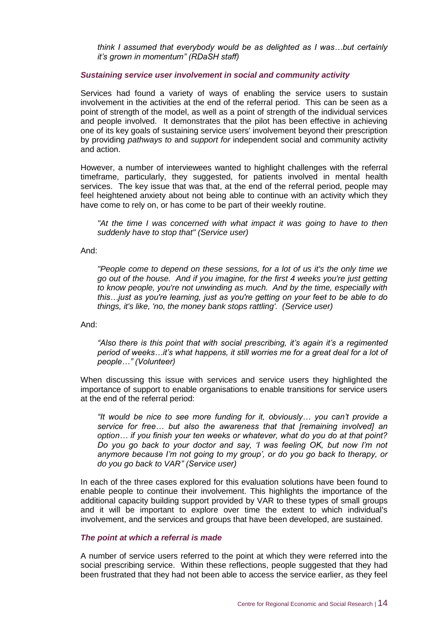*think I assumed that everybody would be as delighted as I was…but certainly it's grown in momentum" (RDaSH staff)*

#### *Sustaining service user involvement in social and community activity*

Services had found a variety of ways of enabling the service users to sustain involvement in the activities at the end of the referral period. This can be seen as a point of strength of the model, as well as a point of strength of the individual services and people involved. It demonstrates that the pilot has been effective in achieving one of its key goals of sustaining service users' involvement beyond their prescription by providing *pathways to* and *support for* independent social and community activity and action.

However, a number of interviewees wanted to highlight challenges with the referral timeframe, particularly, they suggested, for patients involved in mental health services. The key issue that was that, at the end of the referral period, people may feel heightened anxiety about not being able to continue with an activity which they have come to rely on, or has come to be part of their weekly routine.

*"At the time I was concerned with what impact it was going to have to then suddenly have to stop that" (Service user)*

And:

*"People come to depend on these sessions, for a lot of us it's the only time we go out of the house. And if you imagine, for the first 4 weeks you're just getting to know people, you're not unwinding as much. And by the time, especially with this…just as you're learning, just as you're getting on your feet to be able to do things, it's like, 'no, the money bank stops rattling'. (Service user)*

And:

*"Also there is this point that with social prescribing, it's again it's a regimented period of weeks…it's what happens, it still worries me for a great deal for a lot of people…" (Volunteer)*

When discussing this issue with services and service users they highlighted the importance of support to enable organisations to enable transitions for service users at the end of the referral period:

*"It would be nice to see more funding for it, obviously… you can't provide a service for free… but also the awareness that that [remaining involved] an option… if you finish your ten weeks or whatever, what do you do at that point? Do you go back to your doctor and say, 'I was feeling OK, but now I'm not anymore because I'm not going to my group', or do you go back to therapy, or do you go back to VAR" (Service user)*

In each of the three cases explored for this evaluation solutions have been found to enable people to continue their involvement. This highlights the importance of the additional capacity building support provided by VAR to these types of small groups and it will be important to explore over time the extent to which individual's involvement, and the services and groups that have been developed, are sustained.

#### *The point at which a referral is made*

A number of service users referred to the point at which they were referred into the social prescribing service. Within these reflections, people suggested that they had been frustrated that they had not been able to access the service earlier, as they feel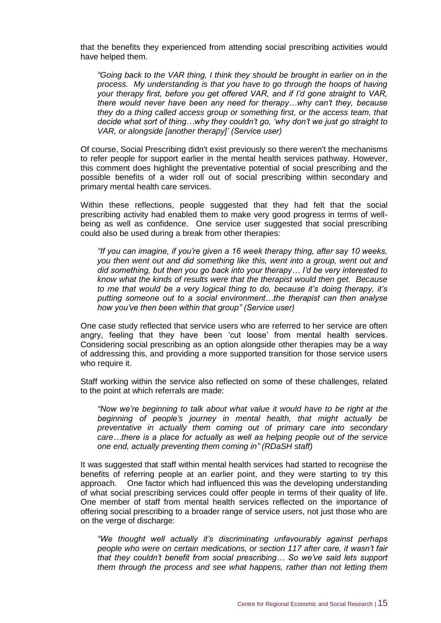that the benefits they experienced from attending social prescribing activities would have helped them.

*"Going back to the VAR thing, I think they should be brought in earlier on in the process. My understanding is that you have to go through the hoops of having your therapy first, before you get offered VAR, and if I'd gone straight to VAR, there would never have been any need for therapy…why can't they, because they do a thing called access group or something first, or the access team, that decide what sort of thing…why they couldn't go, 'why don't we just go straight to VAR, or alongside [another therapy]' (Service user)*

Of course, Social Prescribing didn't exist previously so there weren't the mechanisms to refer people for support earlier in the mental health services pathway. However, this comment does highlight the preventative potential of social prescribing and the possible benefits of a wider roll out of social prescribing within secondary and primary mental health care services.

Within these reflections, people suggested that they had felt that the social prescribing activity had enabled them to make very good progress in terms of wellbeing as well as confidence. One service user suggested that social prescribing could also be used during a break from other therapies:

*"If you can imagine, if you're given a 16 week therapy thing, after say 10 weeks, you then went out and did something like this, went into a group, went out and did something, but then you go back into your therapy… I'd be very interested to know what the kinds of results were that the therapist would then get. Because to me that would be a very logical thing to do, because it's doing therapy, it's putting someone out to a social environment…the therapist can then analyse how you've then been within that group" (Service user)*

One case study reflected that service users who are referred to her service are often angry, feeling that they have been 'cut loose' from mental health services. Considering social prescribing as an option alongside other therapies may be a way of addressing this, and providing a more supported transition for those service users who require it.

Staff working within the service also reflected on some of these challenges, related to the point at which referrals are made:

*"Now we're beginning to talk about what value it would have to be right at the beginning of people's journey in mental health, that might actually be preventative in actually them coming out of primary care into secondary care…there is a place for actually as well as helping people out of the service one end, actually preventing them coming in" (RDaSH staff)*

It was suggested that staff within mental health services had started to recognise the benefits of referring people at an earlier point, and they were starting to try this approach. One factor which had influenced this was the developing understanding of what social prescribing services could offer people in terms of their quality of life. One member of staff from mental health services reflected on the importance of offering social prescribing to a broader range of service users, not just those who are on the verge of discharge:

*"We thought well actually it's discriminating unfavourably against perhaps people who were on certain medications, or section 117 after care, it wasn't fair that they couldn't benefit from social prescribing… So we've said lets support them through the process and see what happens, rather than not letting them*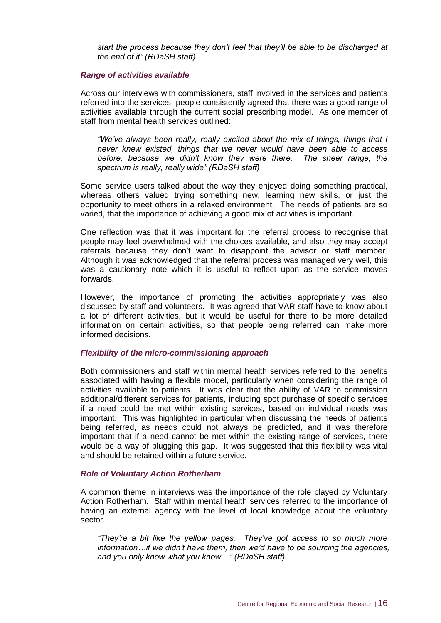*start the process because they don't feel that they'll be able to be discharged at the end of it" (RDaSH staff)*

#### *Range of activities available*

Across our interviews with commissioners, staff involved in the services and patients referred into the services, people consistently agreed that there was a good range of activities available through the current social prescribing model. As one member of staff from mental health services outlined:

*"We've always been really, really excited about the mix of things, things that I never knew existed, things that we never would have been able to access before, because we didn't know they were there. The sheer range, the spectrum is really, really wide" (RDaSH staff)*

Some service users talked about the way they enjoyed doing something practical, whereas others valued trying something new, learning new skills, or just the opportunity to meet others in a relaxed environment. The needs of patients are so varied, that the importance of achieving a good mix of activities is important.

One reflection was that it was important for the referral process to recognise that people may feel overwhelmed with the choices available, and also they may accept referrals because they don't want to disappoint the advisor or staff member. Although it was acknowledged that the referral process was managed very well, this was a cautionary note which it is useful to reflect upon as the service moves forwards.

However, the importance of promoting the activities appropriately was also discussed by staff and volunteers. It was agreed that VAR staff have to know about a lot of different activities, but it would be useful for there to be more detailed information on certain activities, so that people being referred can make more informed decisions.

#### *Flexibility of the micro-commissioning approach*

Both commissioners and staff within mental health services referred to the benefits associated with having a flexible model, particularly when considering the range of activities available to patients. It was clear that the ability of VAR to commission additional/different services for patients, including spot purchase of specific services if a need could be met within existing services, based on individual needs was important. This was highlighted in particular when discussing the needs of patients being referred, as needs could not always be predicted, and it was therefore important that if a need cannot be met within the existing range of services, there would be a way of plugging this gap. It was suggested that this flexibility was vital and should be retained within a future service.

#### *Role of Voluntary Action Rotherham*

A common theme in interviews was the importance of the role played by Voluntary Action Rotherham. Staff within mental health services referred to the importance of having an external agency with the level of local knowledge about the voluntary sector.

*"They're a bit like the yellow pages. They've got access to so much more information…if we didn't have them, then we'd have to be sourcing the agencies, and you only know what you know…" (RDaSH staff)*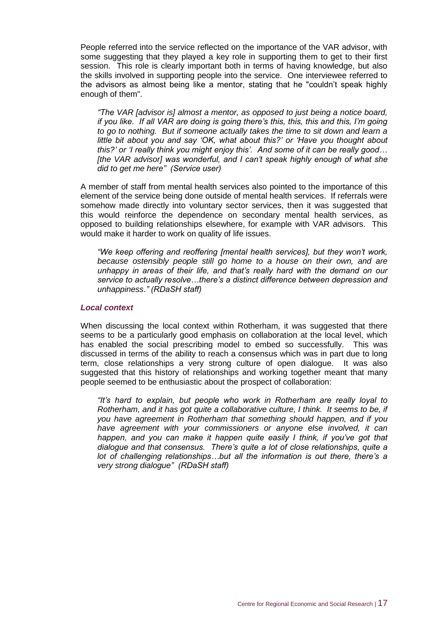People referred into the service reflected on the importance of the VAR advisor, with some suggesting that they played a key role in supporting them to get to their first session. This role is clearly important both in terms of having knowledge, but also the skills involved in supporting people into the service. One interviewee referred to the advisors as almost being like a mentor, stating that he "couldn't speak highly enough of them".

*"The VAR [advisor is] almost a mentor, as opposed to just being a notice board, if you like. If all VAR are doing is going there's this, this, this and this, I'm going to go to nothing. But if someone actually takes the time to sit down and learn a little bit about you and say 'OK, what about this?' or 'Have you thought about this?' or 'I really think you might enjoy this'. And some of it can be really good… [the VAR advisor] was wonderful, and I can't speak highly enough of what she did to get me here" (Service user)*

A member of staff from mental health services also pointed to the importance of this element of the service being done outside of mental health services. If referrals were somehow made directly into voluntary sector services, then it was suggested that this would reinforce the dependence on secondary mental health services, as opposed to building relationships elsewhere, for example with VAR advisors. This would make it harder to work on quality of life issues.

*"We keep offering and reoffering [mental health services], but they won't work, because ostensibly people still go home to a house on their own, and are unhappy in areas of their life, and that's really hard with the demand on our service to actually resolve…there's a distinct difference between depression and unhappiness." (RDaSH staff)*

#### *Local context*

When discussing the local context within Rotherham, it was suggested that there seems to be a particularly good emphasis on collaboration at the local level, which has enabled the social prescribing model to embed so successfully. This was discussed in terms of the ability to reach a consensus which was in part due to long term, close relationships a very strong culture of open dialogue. It was also suggested that this history of relationships and working together meant that many people seemed to be enthusiastic about the prospect of collaboration:

*"It's hard to explain, but people who work in Rotherham are really loyal to Rotherham, and it has got quite a collaborative culture, I think. It seems to be, if you have agreement in Rotherham that something should happen, and if you have agreement with your commissioners or anyone else involved, it can happen, and you can make it happen quite easily I think, if you've got that dialogue and that consensus. There's quite a lot of close relationships, quite a lot of challenging relationships…but all the information is out there, there's a very strong dialogue" (RDaSH staff)*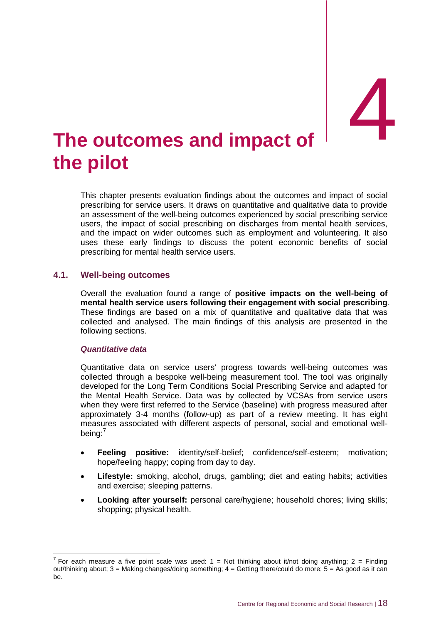## <span id="page-21-0"></span>**The outcomes and impact of the pilot**

This chapter presents evaluation findings about the outcomes and impact of social prescribing for service users. It draws on quantitative and qualitative data to provide an assessment of the well-being outcomes experienced by social prescribing service users, the impact of social prescribing on discharges from mental health services, and the impact on wider outcomes such as employment and volunteering. It also uses these early findings to discuss the potent economic benefits of social prescribing for mental health service users.

#### <span id="page-21-1"></span>**4.1. Well-being outcomes**

Overall the evaluation found a range of **positive impacts on the well-being of mental health service users following their engagement with social prescribing**. These findings are based on a mix of quantitative and qualitative data that was collected and analysed. The main findings of this analysis are presented in the following sections.

#### *Quantitative data*

Quantitative data on service users' progress towards well-being outcomes was collected through a bespoke well-being measurement tool. The tool was originally developed for the Long Term Conditions Social Prescribing Service and adapted for the Mental Health Service. Data was by collected by VCSAs from service users when they were first referred to the Service (baseline) with progress measured after approximately 3-4 months (follow-up) as part of a review meeting. It has eight measures associated with different aspects of personal, social and emotional wellbeing:<sup>7</sup>

- **Feeling positive:** identity/self-belief; confidence/self-esteem; motivation; hope/feeling happy; coping from day to day.
- **Lifestyle:** smoking, alcohol, drugs, gambling; diet and eating habits; activities and exercise; sleeping patterns.
- **Looking after yourself:** personal care/hygiene; household chores; living skills; shopping; physical health.

 7 For each measure a five point scale was used: 1 = Not thinking about it/not doing anything; 2 = Finding out/thinking about; 3 = Making changes/doing something; 4 = Getting there/could do more; 5 = As good as it can be.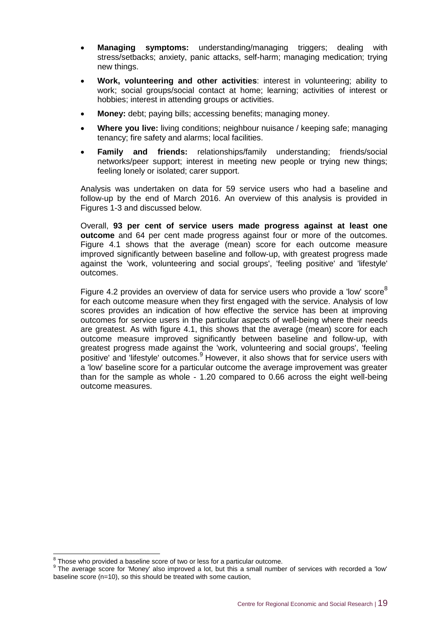- **Managing symptoms:** understanding/managing triggers; dealing with stress/setbacks; anxiety, panic attacks, self-harm; managing medication; trying new things.
- **Work, volunteering and other activities**: interest in volunteering; ability to work; social groups/social contact at home; learning; activities of interest or hobbies; interest in attending groups or activities.
- **Money:** debt; paying bills; accessing benefits; managing money.
- **Where you live:** living conditions; neighbour nuisance / keeping safe; managing tenancy; fire safety and alarms; local facilities.
- **Family and friends:** relationships/family understanding; friends/social networks/peer support; interest in meeting new people or trying new things; feeling lonely or isolated; carer support.

Analysis was undertaken on data for 59 service users who had a baseline and follow-up by the end of March 2016. An overview of this analysis is provided in Figures 1-3 and discussed below.

Overall, **93 per cent of service users made progress against at least one outcome** and 64 per cent made progress against four or more of the outcomes. Figure 4.1 shows that the average (mean) score for each outcome measure improved significantly between baseline and follow-up, with greatest progress made against the 'work, volunteering and social groups', 'feeling positive' and 'lifestyle' outcomes.

Figure 4.2 provides an overview of data for service users who provide a 'low' score $^8$ for each outcome measure when they first engaged with the service. Analysis of low scores provides an indication of how effective the service has been at improving outcomes for service users in the particular aspects of well-being where their needs are greatest. As with figure 4.1, this shows that the average (mean) score for each outcome measure improved significantly between baseline and follow-up, with greatest progress made against the 'work, volunteering and social groups', 'feeling positive' and 'lifestyle' outcomes.<sup>9</sup> However, it also shows that for service users with a 'low' baseline score for a particular outcome the average improvement was greater than for the sample as whole - 1.20 compared to 0.66 across the eight well-being outcome measures.

 8 Those who provided a baseline score of two or less for a particular outcome.

 $9$  The average score for 'Money' also improved a lot, but this a small number of services with recorded a 'low' baseline score (n=10), so this should be treated with some caution,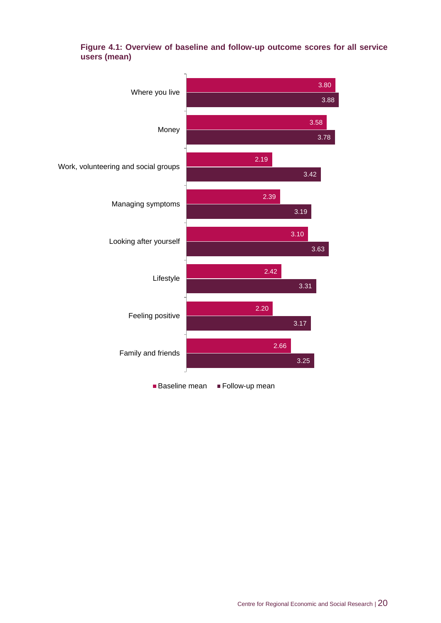

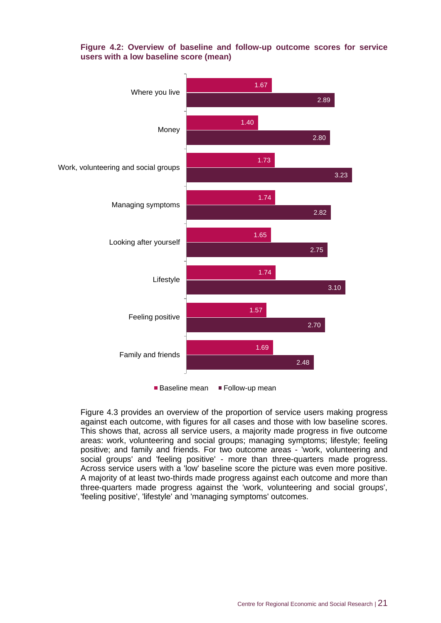#### **Figure 4.2: Overview of baseline and follow-up outcome scores for service users with a low baseline score (mean)**



Figure 4.3 provides an overview of the proportion of service users making progress against each outcome, with figures for all cases and those with low baseline scores. This shows that, across all service users, a majority made progress in five outcome areas: work, volunteering and social groups; managing symptoms; lifestyle; feeling positive; and family and friends. For two outcome areas - 'work, volunteering and social groups' and 'feeling positive' - more than three-quarters made progress. Across service users with a 'low' baseline score the picture was even more positive. A majority of at least two-thirds made progress against each outcome and more than three-quarters made progress against the 'work, volunteering and social groups', 'feeling positive', 'lifestyle' and 'managing symptoms' outcomes.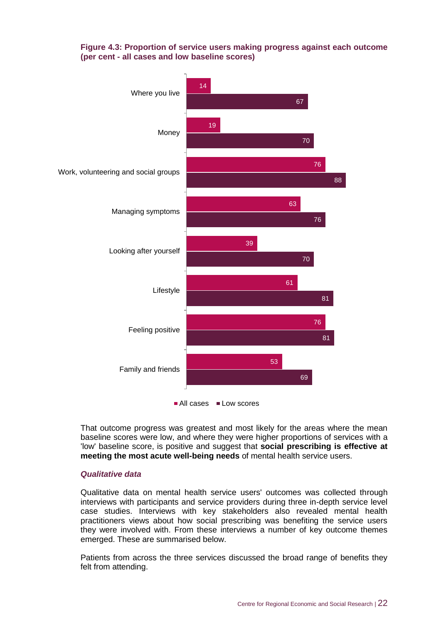#### **Figure 4.3: Proportion of service users making progress against each outcome (per cent - all cases and low baseline scores)**



That outcome progress was greatest and most likely for the areas where the mean baseline scores were low, and where they were higher proportions of services with a 'low' baseline score, is positive and suggest that **social prescribing is effective at meeting the most acute well-being needs** of mental health service users.

#### *Qualitative data*

Qualitative data on mental health service users' outcomes was collected through interviews with participants and service providers during three in-depth service level case studies. Interviews with key stakeholders also revealed mental health practitioners views about how social prescribing was benefiting the service users they were involved with. From these interviews a number of key outcome themes emerged. These are summarised below.

Patients from across the three services discussed the broad range of benefits they felt from attending.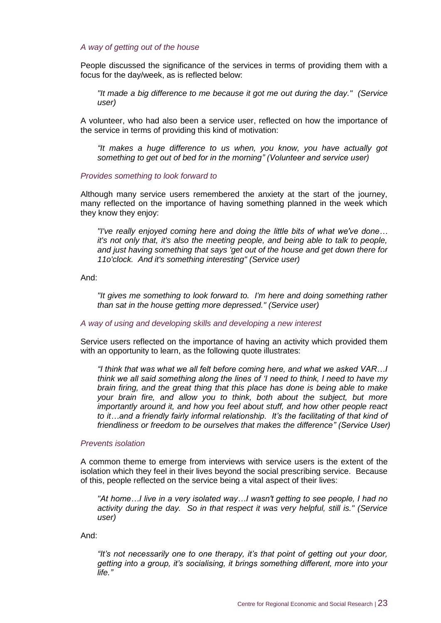#### *A way of getting out of the house*

People discussed the significance of the services in terms of providing them with a focus for the day/week, as is reflected below:

*"It made a big difference to me because it got me out during the day." (Service user)*

A volunteer, who had also been a service user, reflected on how the importance of the service in terms of providing this kind of motivation:

*"It makes a huge difference to us when, you know, you have actually got something to get out of bed for in the morning" (Volunteer and service user)*

#### *Provides something to look forward to*

Although many service users remembered the anxiety at the start of the journey, many reflected on the importance of having something planned in the week which they know they enjoy:

*"I've really enjoyed coming here and doing the little bits of what we've done… it's not only that, it's also the meeting people, and being able to talk to people, and just having something that says 'get out of the house and get down there for 11o'clock. And it's something interesting" (Service user)*

And:

*"It gives me something to look forward to. I'm here and doing something rather than sat in the house getting more depressed." (Service user)*

#### *A way of using and developing skills and developing a new interest*

Service users reflected on the importance of having an activity which provided them with an opportunity to learn, as the following quote illustrates:

*"I think that was what we all felt before coming here, and what we asked VAR…I think we all said something along the lines of 'I need to think, I need to have my brain firing, and the great thing that this place has done is being able to make your brain fire, and allow you to think, both about the subject, but more importantly around it, and how you feel about stuff, and how other people react to it…and a friendly fairly informal relationship. It's the facilitating of that kind of friendliness or freedom to be ourselves that makes the difference" (Service User)*

#### *Prevents isolation*

A common theme to emerge from interviews with service users is the extent of the isolation which they feel in their lives beyond the social prescribing service. Because of this, people reflected on the service being a vital aspect of their lives:

*"At home…I live in a very isolated way…I wasn't getting to see people, I had no activity during the day. So in that respect it was very helpful, still is." (Service user)*

And:

*"It's not necessarily one to one therapy, it's that point of getting out your door, getting into a group, it's socialising, it brings something different, more into your life."*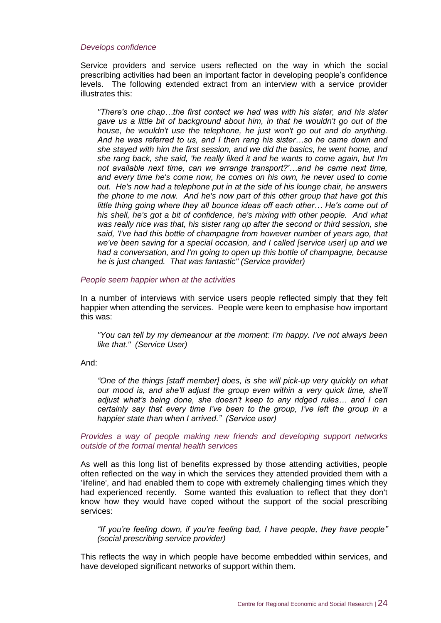#### *Develops confidence*

Service providers and service users reflected on the way in which the social prescribing activities had been an important factor in developing people's confidence levels. The following extended extract from an interview with a service provider illustrates this:

*"There's one chap…the first contact we had was with his sister, and his sister gave us a little bit of background about him, in that he wouldn't go out of the house, he wouldn't use the telephone, he just won't go out and do anything. And he was referred to us, and I then rang his sister…so he came down and she stayed with him the first session, and we did the basics, he went home, and she rang back, she said, 'he really liked it and he wants to come again, but I'm not available next time, can we arrange transport?'…and he came next time, and every time he's come now, he comes on his own, he never used to come out. He's now had a telephone put in at the side of his lounge chair, he answers the phone to me now. And he's now part of this other group that have got this little thing going where they all bounce ideas off each other… He's come out of his shell, he's got a bit of confidence, he's mixing with other people. And what was really nice was that, his sister rang up after the second or third session, she said, 'I've had this bottle of champagne from however number of years ago, that we've been saving for a special occasion, and I called [service user] up and we had a conversation, and I'm going to open up this bottle of champagne, because he is just changed. That was fantastic" (Service provider)*

#### *People seem happier when at the activities*

In a number of interviews with service users people reflected simply that they felt happier when attending the services. People were keen to emphasise how important this was:

*"You can tell by my demeanour at the moment: I'm happy. I've not always been like that." (Service User)*

#### And:

*"One of the things [staff member] does, is she will pick-up very quickly on what our mood is, and she'll adjust the group even within a very quick time, she'll adjust what's being done, she doesn't keep to any ridged rules… and I can certainly say that every time I've been to the group, I've left the group in a happier state than when I arrived." (Service user)*

#### *Provides a way of people making new friends and developing support networks outside of the formal mental health services*

As well as this long list of benefits expressed by those attending activities, people often reflected on the way in which the services they attended provided them with a 'lifeline', and had enabled them to cope with extremely challenging times which they had experienced recently. Some wanted this evaluation to reflect that they don't know how they would have coped without the support of the social prescribing services:

*"If you're feeling down, if you're feeling bad, I have people, they have people" (social prescribing service provider)* 

This reflects the way in which people have become embedded within services, and have developed significant networks of support within them.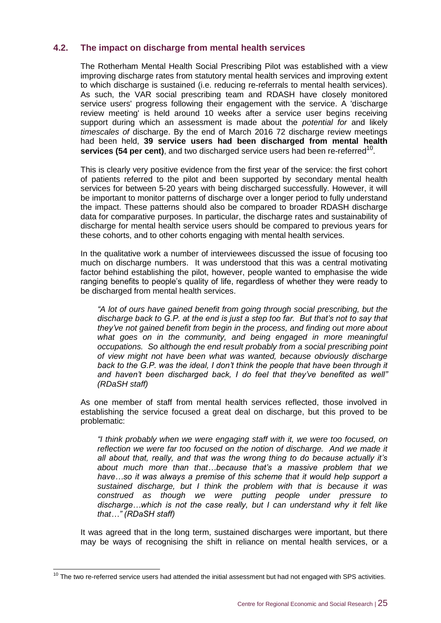## <span id="page-28-0"></span>**4.2. The impact on discharge from mental health services**

The Rotherham Mental Health Social Prescribing Pilot was established with a view improving discharge rates from statutory mental health services and improving extent to which discharge is sustained (i.e. reducing re-referrals to mental health services). As such, the VAR social prescribing team and RDASH have closely monitored service users' progress following their engagement with the service. A 'discharge review meeting' is held around 10 weeks after a service user begins receiving support during which an assessment is made about the *potential for* and likely *timescales of* discharge. By the end of March 2016 72 discharge review meetings had been held, **39 service users had been discharged from mental health**  services (54 per cent), and two discharged service users had been re-referred<sup>10</sup>.

This is clearly very positive evidence from the first year of the service: the first cohort of patients referred to the pilot and been supported by secondary mental health services for between 5-20 years with being discharged successfully. However, it will be important to monitor patterns of discharge over a longer period to fully understand the impact. These patterns should also be compared to broader RDASH discharge data for comparative purposes. In particular, the discharge rates and sustainability of discharge for mental health service users should be compared to previous years for these cohorts, and to other cohorts engaging with mental health services.

In the qualitative work a number of interviewees discussed the issue of focusing too much on discharge numbers. It was understood that this was a central motivating factor behind establishing the pilot, however, people wanted to emphasise the wide ranging benefits to people's quality of life, regardless of whether they were ready to be discharged from mental health services.

*"A lot of ours have gained benefit from going through social prescribing, but the discharge back to G.P. at the end is just a step too far. But that's not to say that they've not gained benefit from begin in the process, and finding out more about what goes on in the community, and being engaged in more meaningful occupations. So although the end result probably from a social prescribing point of view might not have been what was wanted, because obviously discharge back to the G.P. was the ideal, I don't think the people that have been through it and haven't been discharged back, I do feel that they've benefited as well" (RDaSH staff)*

As one member of staff from mental health services reflected, those involved in establishing the service focused a great deal on discharge, but this proved to be problematic:

*"I think probably when we were engaging staff with it, we were too focused, on reflection we were far too focused on the notion of discharge. And we made it all about that, really, and that was the wrong thing to do because actually it's about much more than that…because that's a massive problem that we have…so it was always a premise of this scheme that it would help support a sustained discharge, but I think the problem with that is because it was construed as though we were putting people under pressure to discharge…which is not the case really, but I can understand why it felt like that…" (RDaSH staff)*

It was agreed that in the long term, sustained discharges were important, but there may be ways of recognising the shift in reliance on mental health services, or a

 $\overline{1}$ 

 $10$  The two re-referred service users had attended the initial assessment but had not engaged with SPS activities.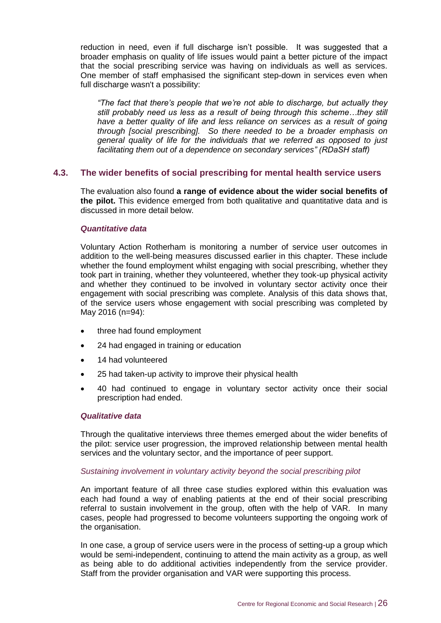reduction in need, even if full discharge isn't possible. It was suggested that a broader emphasis on quality of life issues would paint a better picture of the impact that the social prescribing service was having on individuals as well as services. One member of staff emphasised the significant step-down in services even when full discharge wasn't a possibility:

*"The fact that there's people that we're not able to discharge, but actually they still probably need us less as a result of being through this scheme…they still*  have a better quality of life and less reliance on services as a result of going *through [social prescribing]. So there needed to be a broader emphasis on general quality of life for the individuals that we referred as opposed to just facilitating them out of a dependence on secondary services" (RDaSH staff)* 

#### <span id="page-29-0"></span>**4.3. The wider benefits of social prescribing for mental health service users**

The evaluation also found **a range of evidence about the wider social benefits of the pilot.** This evidence emerged from both qualitative and quantitative data and is discussed in more detail below.

#### *Quantitative data*

Voluntary Action Rotherham is monitoring a number of service user outcomes in addition to the well-being measures discussed earlier in this chapter. These include whether the found employment whilst engaging with social prescribing, whether they took part in training, whether they volunteered, whether they took-up physical activity and whether they continued to be involved in voluntary sector activity once their engagement with social prescribing was complete. Analysis of this data shows that, of the service users whose engagement with social prescribing was completed by May 2016 (n=94):

- three had found employment
- 24 had engaged in training or education
- 14 had volunteered
- 25 had taken-up activity to improve their physical health
- 40 had continued to engage in voluntary sector activity once their social prescription had ended.

#### *Qualitative data*

Through the qualitative interviews three themes emerged about the wider benefits of the pilot: service user progression, the improved relationship between mental health services and the voluntary sector, and the importance of peer support.

#### *Sustaining involvement in voluntary activity beyond the social prescribing pilot*

An important feature of all three case studies explored within this evaluation was each had found a way of enabling patients at the end of their social prescribing referral to sustain involvement in the group, often with the help of VAR. In many cases, people had progressed to become volunteers supporting the ongoing work of the organisation.

In one case, a group of service users were in the process of setting-up a group which would be semi-independent, continuing to attend the main activity as a group, as well as being able to do additional activities independently from the service provider. Staff from the provider organisation and VAR were supporting this process.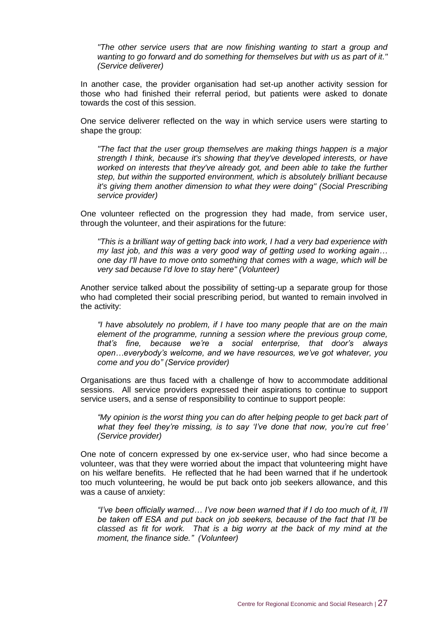*"The other service users that are now finishing wanting to start a group and wanting to go forward and do something for themselves but with us as part of it." (Service deliverer)* 

In another case, the provider organisation had set-up another activity session for those who had finished their referral period, but patients were asked to donate towards the cost of this session.

One service deliverer reflected on the way in which service users were starting to shape the group:

*"The fact that the user group themselves are making things happen is a major strength I think, because it's showing that they've developed interests, or have worked on interests that they've already got, and been able to take the further step, but within the supported environment, which is absolutely brilliant because it's giving them another dimension to what they were doing" (Social Prescribing service provider)*

One volunteer reflected on the progression they had made, from service user, through the volunteer, and their aspirations for the future:

*"This is a brilliant way of getting back into work, I had a very bad experience with my last job, and this was a very good way of getting used to working again… one day I'll have to move onto something that comes with a wage, which will be very sad because I'd love to stay here" (Volunteer)*

Another service talked about the possibility of setting-up a separate group for those who had completed their social prescribing period, but wanted to remain involved in the activity:

*"I have absolutely no problem, if I have too many people that are on the main element of the programme, running a session where the previous group come, that's fine, because we're a social enterprise, that door's always open…everybody's welcome, and we have resources, we've got whatever, you come and you do" (Service provider)*

Organisations are thus faced with a challenge of how to accommodate additional sessions. All service providers expressed their aspirations to continue to support service users, and a sense of responsibility to continue to support people:

*"My opinion is the worst thing you can do after helping people to get back part of what they feel they're missing, is to say 'I've done that now, you're cut free' (Service provider)*

One note of concern expressed by one ex-service user, who had since become a volunteer, was that they were worried about the impact that volunteering might have on his welfare benefits. He reflected that he had been warned that if he undertook too much volunteering, he would be put back onto job seekers allowance, and this was a cause of anxiety:

*"I've been officially warned… I've now been warned that if I do too much of it, I'll be taken off ESA and put back on job seekers, because of the fact that I'll be classed as fit for work. That is a big worry at the back of my mind at the moment, the finance side." (Volunteer)*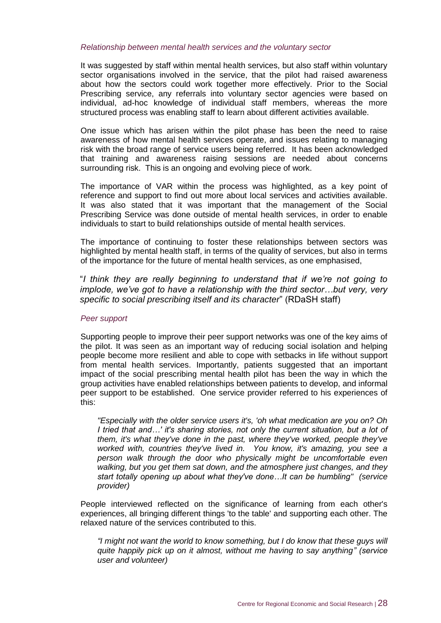#### *Relationship between mental health services and the voluntary sector*

It was suggested by staff within mental health services, but also staff within voluntary sector organisations involved in the service, that the pilot had raised awareness about how the sectors could work together more effectively. Prior to the Social Prescribing service, any referrals into voluntary sector agencies were based on individual, ad-hoc knowledge of individual staff members, whereas the more structured process was enabling staff to learn about different activities available.

One issue which has arisen within the pilot phase has been the need to raise awareness of how mental health services operate, and issues relating to managing risk with the broad range of service users being referred. It has been acknowledged that training and awareness raising sessions are needed about concerns surrounding risk. This is an ongoing and evolving piece of work.

The importance of VAR within the process was highlighted, as a key point of reference and support to find out more about local services and activities available. It was also stated that it was important that the management of the Social Prescribing Service was done outside of mental health services, in order to enable individuals to start to build relationships outside of mental health services.

The importance of continuing to foster these relationships between sectors was highlighted by mental health staff, in terms of the quality of services, but also in terms of the importance for the future of mental health services, as one emphasised,

"*I think they are really beginning to understand that if we're not going to implode, we've got to have a relationship with the third sector...but very, very specific to social prescribing itself and its character*" (RDaSH staff)

#### *Peer support*

Supporting people to improve their peer support networks was one of the key aims of the pilot. It was seen as an important way of reducing social isolation and helping people become more resilient and able to cope with setbacks in life without support from mental health services. Importantly, patients suggested that an important impact of the social prescribing mental health pilot has been the way in which the group activities have enabled relationships between patients to develop, and informal peer support to be established. One service provider referred to his experiences of this:

*"Especially with the older service users it's, 'oh what medication are you on? Oh I tried that and…' it's sharing stories, not only the current situation, but a lot of them, it's what they've done in the past, where they've worked, people they've worked with, countries they've lived in. You know, it's amazing, you see a person walk through the door who physically might be uncomfortable even walking, but you get them sat down, and the atmosphere just changes, and they start totally opening up about what they've done…It can be humbling" (service provider)*

People interviewed reflected on the significance of learning from each other's experiences, all bringing different things 'to the table' and supporting each other. The relaxed nature of the services contributed to this.

*"I might not want the world to know something, but I do know that these guys will quite happily pick up on it almost, without me having to say anything" (service user and volunteer)*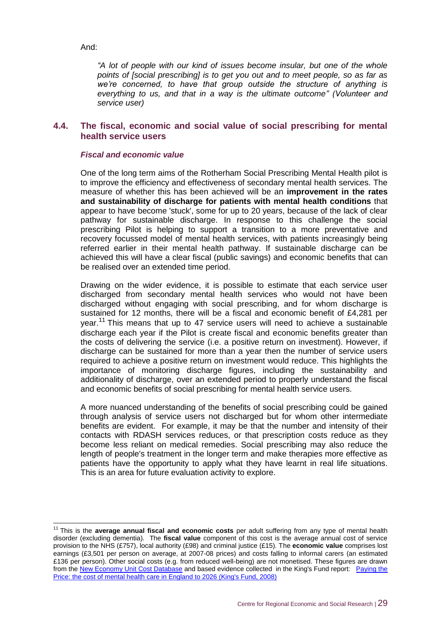And:

*"A lot of people with our kind of issues become insular, but one of the whole points of [social prescribing] is to get you out and to meet people, so as far as we're concerned, to have that group outside the structure of anything is everything to us, and that in a way is the ultimate outcome" (Volunteer and service user)*

#### <span id="page-32-0"></span>**4.4. The fiscal, economic and social value of social prescribing for mental health service users**

#### *Fiscal and economic value*

One of the long term aims of the Rotherham Social Prescribing Mental Health pilot is to improve the efficiency and effectiveness of secondary mental health services. The measure of whether this has been achieved will be an **improvement in the rates and sustainability of discharge for patients with mental health conditions** that appear to have become 'stuck', some for up to 20 years, because of the lack of clear pathway for sustainable discharge. In response to this challenge the social prescribing Pilot is helping to support a transition to a more preventative and recovery focussed model of mental health services, with patients increasingly being referred earlier in their mental health pathway. If sustainable discharge can be achieved this will have a clear fiscal (public savings) and economic benefits that can be realised over an extended time period.

Drawing on the wider evidence, it is possible to estimate that each service user discharged from secondary mental health services who would not have been discharged without engaging with social prescribing, and for whom discharge is sustained for 12 months, there will be a fiscal and economic benefit of £4,281 per year.<sup>11</sup> This means that up to 47 service users will need to achieve a sustainable discharge each year if the Pilot is create fiscal and economic benefits greater than the costs of delivering the service (i.e. a positive return on investment). However, if discharge can be sustained for more than a year then the number of service users required to achieve a positive return on investment would reduce. This highlights the importance of monitoring discharge figures, including the sustainability and additionality of discharge, over an extended period to properly understand the fiscal and economic benefits of social prescribing for mental health service users.

A more nuanced understanding of the benefits of social prescribing could be gained through analysis of service users not discharged but for whom other intermediate benefits are evident. For example, it may be that the number and intensity of their contacts with RDASH services reduces, or that prescription costs reduce as they become less reliant on medical remedies. Social prescribing may also reduce the length of people's treatment in the longer term and make therapies more effective as patients have the opportunity to apply what they have learnt in real life situations. This is an area for future evaluation activity to explore.

 $\overline{1}$ <sup>11</sup> This is the **average annual fiscal and economic costs** per adult suffering from any type of mental health disorder (excluding dementia). The **fiscal value** component of this cost is the average annual cost of service provision to the NHS (£757), local authority (£98) and criminal justice (£15). The **economic value** comprises lost earnings (£3,501 per person on average, at 2007-08 prices) and costs falling to informal carers (an estimated £136 per person). Other social costs (e.g. from reduced well-being) are not monetised. These figures are drawn from th[e New Economy Unit Cost Database](http://neweconomymanchester.com/our-work/research-evaluation-cost-benefit-analysis/cost-benefit-analysis/unit-cost-database) and based evidence collected in the King's Fund report: [Paying the](http://www.kingsfund.org.uk/publications/paying-price)  [Price: the cost of mental health care in England to 2026 \(King's Fund, 2008\)](http://www.kingsfund.org.uk/publications/paying-price)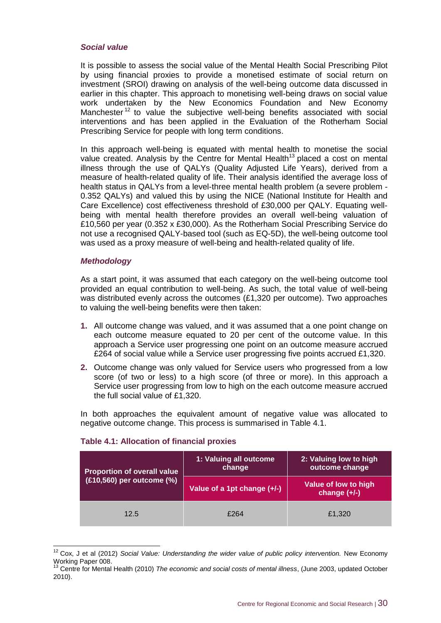#### *Social value*

It is possible to assess the social value of the Mental Health Social Prescribing Pilot by using financial proxies to provide a monetised estimate of social return on investment (SROI) drawing on analysis of the well-being outcome data discussed in earlier in this chapter. This approach to monetising well-being draws on social value work undertaken by the New Economics Foundation and New Economy Manchester<sup>12</sup> to value the subjective well-being benefits associated with social interventions and has been applied in the Evaluation of the Rotherham Social Prescribing Service for people with long term conditions.

In this approach well-being is equated with mental health to monetise the social value created. Analysis by the Centre for Mental Health<sup>13</sup> placed a cost on mental illness through the use of QALYs (Quality Adjusted Life Years), derived from a measure of health-related quality of life. Their analysis identified the average loss of health status in QALYs from a level-three mental health problem (a severe problem - 0.352 QALYs) and valued this by using the NICE (National Institute for Health and Care Excellence) cost effectiveness threshold of £30,000 per QALY. Equating wellbeing with mental health therefore provides an overall well-being valuation of £10,560 per year (0.352 x £30,000). As the Rotherham Social Prescribing Service do not use a recognised QALY-based tool (such as EQ-5D), the well-being outcome tool was used as a proxy measure of well-being and health-related quality of life.

#### *Methodology*

As a start point, it was assumed that each category on the well-being outcome tool provided an equal contribution to well-being. As such, the total value of well-being was distributed evenly across the outcomes (£1,320 per outcome). Two approaches to valuing the well-being benefits were then taken:

- **1.** All outcome change was valued, and it was assumed that a one point change on each outcome measure equated to 20 per cent of the outcome value. In this approach a Service user progressing one point on an outcome measure accrued £264 of social value while a Service user progressing five points accrued £1,320.
- **2.** Outcome change was only valued for Service users who progressed from a low score (of two or less) to a high score (of three or more). In this approach a Service user progressing from low to high on the each outcome measure accrued the full social value of £1,320.

In both approaches the equivalent amount of negative value was allocated to negative outcome change. This process is summarised in Table 4.1.

| <b>Proportion of overall value</b> | 1: Valuing all outcome<br>change | 2: Valuing low to high<br>outcome change |  |
|------------------------------------|----------------------------------|------------------------------------------|--|
| (£10,560) per outcome (%)          | Value of a 1pt change (+/-)      | Value of low to high<br>change $(+/-)$   |  |
| 12.5                               | £264                             | £1,320                                   |  |

#### **Table 4.1: Allocation of financial proxies**

 $\overline{1}$ <sup>12</sup> Cox, J et al (2012) *Social Value: Understanding the wider value of public policy intervention.* New Economy Working Paper 008.

<sup>&</sup>lt;sup>13</sup> Centre for Mental Health (2010) *The economic and social costs of mental illness*, (June 2003, updated October 2010).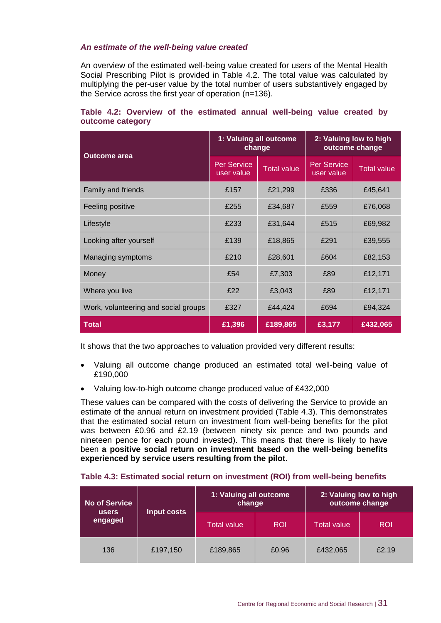#### *An estimate of the well-being value created*

An overview of the estimated well-being value created for users of the Mental Health Social Prescribing Pilot is provided in Table 4.2. The total value was calculated by multiplying the per-user value by the total number of users substantively engaged by the Service across the first year of operation (n=136).

#### **Table 4.2: Overview of the estimated annual well-being value created by outcome category**

| <b>Outcome area</b>                  | 1: Valuing all outcome<br>change |                    | 2: Valuing low to high<br>outcome change |                    |
|--------------------------------------|----------------------------------|--------------------|------------------------------------------|--------------------|
|                                      | <b>Per Service</b><br>user value | <b>Total value</b> | <b>Per Service</b><br>user value         | <b>Total value</b> |
| Family and friends                   | £157                             | £21,299            | £336                                     | £45,641            |
| Feeling positive                     | £255                             | £34,687            | £559                                     | £76,068            |
| Lifestyle                            | £233                             | £31,644            | £515                                     | £69,982            |
| Looking after yourself               | £139                             | £18,865            | £291                                     | £39,555            |
| Managing symptoms                    | £210                             | £28,601            | £604                                     | £82,153            |
| Money                                | £54                              | £7,303             | £89                                      | £12,171            |
| Where you live                       | £22                              | £3,043             | £89                                      | £12,171            |
| Work, volunteering and social groups | £327                             | £44,424            | £694                                     | £94,324            |
| <b>Total</b>                         | £1,396                           | £189,865           | £3,177                                   | £432,065           |

It shows that the two approaches to valuation provided very different results:

- Valuing all outcome change produced an estimated total well-being value of £190,000
- Valuing low-to-high outcome change produced value of £432,000

These values can be compared with the costs of delivering the Service to provide an estimate of the annual return on investment provided (Table 4.3). This demonstrates that the estimated social return on investment from well-being benefits for the pilot was between £0.96 and £2.19 (between ninety six pence and two pounds and nineteen pence for each pound invested). This means that there is likely to have been **a positive social return on investment based on the well-being benefits experienced by service users resulting from the pilot**.

| <b>No of Service</b><br><b>users</b> | Input costs | 1: Valuing all outcome<br>change |            | 2: Valuing low to high<br>outcome change |            |
|--------------------------------------|-------------|----------------------------------|------------|------------------------------------------|------------|
| engaged                              |             | <b>Total value</b>               | <b>ROI</b> | Total value                              | <b>ROI</b> |
| 136                                  | £197,150    | £189,865                         | £0.96      | £432,065                                 | £2.19      |

#### **Table 4.3: Estimated social return on investment (ROI) from well-being benefits**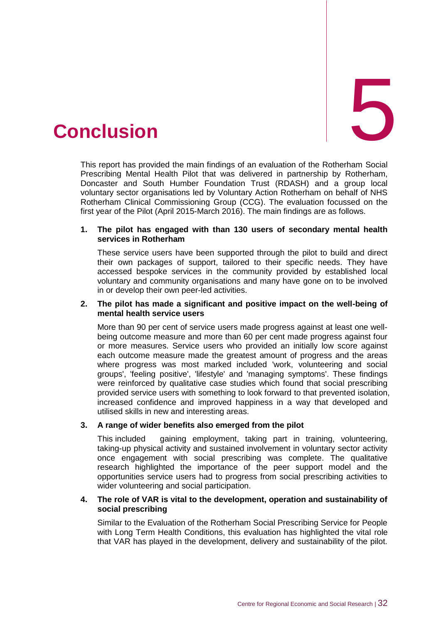<span id="page-35-0"></span>

This report has provided the main findings of an evaluation of the Rotherham Social Prescribing Mental Health Pilot that was delivered in partnership by Rotherham, Doncaster and South Humber Foundation Trust (RDASH) and a group local voluntary sector organisations led by Voluntary Action Rotherham on behalf of NHS Rotherham Clinical Commissioning Group (CCG). The evaluation focussed on the first year of the Pilot (April 2015-March 2016). The main findings are as follows.

#### **1. The pilot has engaged with than 130 users of secondary mental health services in Rotherham**

These service users have been supported through the pilot to build and direct their own packages of support, tailored to their specific needs. They have accessed bespoke services in the community provided by established local voluntary and community organisations and many have gone on to be involved in or develop their own peer-led activities.

#### **2. The pilot has made a significant and positive impact on the well-being of mental health service users**

More than 90 per cent of service users made progress against at least one wellbeing outcome measure and more than 60 per cent made progress against four or more measures. Service users who provided an initially low score against each outcome measure made the greatest amount of progress and the areas where progress was most marked included 'work, volunteering and social groups', 'feeling positive', 'lifestyle' and 'managing symptoms'. These findings were reinforced by qualitative case studies which found that social prescribing provided service users with something to look forward to that prevented isolation, increased confidence and improved happiness in a way that developed and utilised skills in new and interesting areas.

#### **3. A range of wider benefits also emerged from the pilot**

This included gaining employment, taking part in training, volunteering, taking-up physical activity and sustained involvement in voluntary sector activity once engagement with social prescribing was complete. The qualitative research highlighted the importance of the peer support model and the opportunities service users had to progress from social prescribing activities to wider volunteering and social participation.

#### **4. The role of VAR is vital to the development, operation and sustainability of social prescribing**

Similar to the Evaluation of the Rotherham Social Prescribing Service for People with Long Term Health Conditions, this evaluation has highlighted the vital role that VAR has played in the development, delivery and sustainability of the pilot.